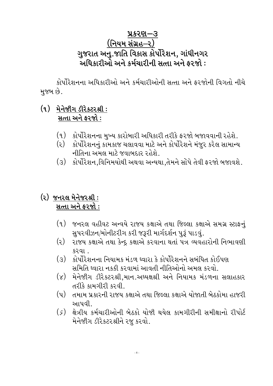### પ્રકરણ—૩ (નિયમ સંગ્રહ–૨) ગુજરાત અનુ.જાતિ વિકાસ કોર્પોરેશન, ગાંધીનગર અધિકારીઓ અને કર્મચારીની સત્તા અને કરજો :

કોર્પોરેશનના અધિકારીઓ અને કર્મચારીઓની સત્તા અને ફરજોની વિગતો નીચે મુજબ છે.

#### (૧) મેનેજીંગ ડીરેક્ટરશ્રી: સત્તા અને કરજો:

- (૧) કોર્પોરેશનના મુખ્ય કારોબારી અધિકારી તરીકે ફરજો બજાવવાની રહેશે.
- (૨) કોર્પોરેશનનું કામકાજ ચલાવવા માટે અને કોર્પોરેશને મંજૂર કરેલ સામાન્ય નીતિના અમલ માટે જવાબદાર રહેશે.
- કોર્પોરેશન,વિનિમયોથી અથવા અન્યથા,તેમને સોપે તેવી ફરજો બજાવશે.  $(3)$

#### (૨) જનરલ મેનેજરશ્રી: સત્તા અને ફરજો:

- $(9)$ જનરલ વહીવટ અન્વયે રાજય કક્ષાએ તથા જિલ્લા કક્ષાએ સમગ્ર સ્ટાફનું સુપરવીઝન/મોનીટરીગ કરી જરૂરી માર્ગદર્શન પુરૂં પાડવું.
- $(z)$ રાજય કક્ષાએ તથા કેન્દ્ર કક્ષાએ કરવાના થતાં પત્ર વ્યવહારોની નિભાવણી કરવા..
- (૩) કોર્પોરેશનના નિયામક મંડળ ઘ્વારા કે કોર્પોરેશનને સબંધિત કોઈપણ સમિતિ ઘ્વારા નકકી કરવામાં આવતી નીતિઓનો અમલ કરવો..
- (૪) મેનેજીંગ ડીરેકટરશ્રી,માન.અઘ્યક્ષશ્રી અને નિયામક મંડળના સલાહકાર તરીકે કામગીરી કરવી.
- તમામ પ્રકારની રાજય કક્ષાએ તથા જિલ્લા કક્ષાએ યોજાતી બેઠકોમા હાજરી  $(\mathbf{u})$ આપવી
- $(\zeta)$ ક્ષેત્રીય કર્મચારીઓની બેઠકો યોજી થયેલ કામગીરીની સમીક્ષાનો રીપોર્ટ મેનેજીંગ ડીરેકટરશ્રીને રજૂ કરવો.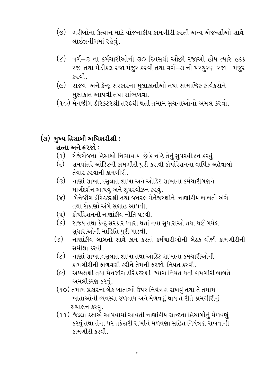- (૭) ગરીબોના ઉત્થાન માટે યોજનાકીય કામગીરી કરતી અન્ય એજન્સીઓ સાથે લાઈઝનીગમાં રહેવું.
- વર્ગ-૩ ના કર્મચારીઓની ૩૦ દિવસથી ઓછી રજાઓ હોય ત્યારે હકક  $\left( \zeta \right)$ ૨જા તથા મેડીકલ ૨જા મંજુર કરવી તથા વર્ગ–૩ ની પરચુરણ ૨જા મંજુર કરવી..
- (૯) રાજય અને કેન્દ્ર સરકારના મુલાકાતીઓ તથા સામાજિક કાર્યકરોને મલાકાત આપવી તથા સાંભળવા.
- (૧૦) મેનેજીંગ ડીરેકટરશ્રી તરફથી થતી તમામ સૂચનાઓનો અમલ કરવો.

#### (૩) મુખ્ય હિસાબી અધિકારીશ્રી: સત્તા અને ફરજો:

- રોજેરોજના હિસાબો નિભાવાય છે કે નહિ તેનું સુપરવીઝન કરવું.  $(q)$
- સમયાંતરે ઓડિટની કામગીરી પુરી કરાવી કોર્પોરેશનના વાર્ષિક અહેવાલો (૨) તૈયાર કરવાની કામગીરી.
- નાણાં શાખા,વસુલાત શાખા અને ઓડિટ શાખાના કર્મચારીગણને  $(3)$ માર્ગદર્શન આપવું અને સુપરવીઝન કરવું.
- મેનેજીીગ ડીરેકટરશ્રી તથા જનરલ મેનેજરશ્રીને નાણાંકીય બાબતો અંગે  $(\lambda)$ તથા રોકાણો અંગે સલાહ આપવી..
- (૫) કોર્પોરેશનની નાણાંકીય નીતિ ઘડવી.
- રાજય તથા કેન્દ્ર સરકાર ઘ્વારા થતાં નવા સુધારાઓ તથા થઈ ગયેલ  $(\zeta)$ સુધારાઓની માહિતિ પુરી પાડવી.
- નાણાંકીય બાબતો સાથે કામ કરતાં કર્મચારીઓની બેઠક યોજી કામગીરીની  $(\circ)$ સમીક્ષા કરવી.
- $(\zeta)$ નાણાં શાખા,વસુલાત શાખા તથા ઓડિટ શાખાના કર્મચારીઓની કામગીરીની ફાળવણી કરીને તેમની ફરજો નિયત કરવી.
- $(\epsilon)$ અઘ્યક્ષશ્રી તથા મેનેજીંગ ડીરેકટરશ્રી ઘ્વારા નિયત થતી કામગીરી બાબતે અમલીકરણ કરવં.
- (૧૦) તમામ પ્રકારના બેંક ખાતાઓ ઉપર નિયંત્રણ રાખવું તથા તે તમામ ખાતાઓની વ્યવસ્થા જળવાય અને મેળવણું થાય તે રીતે કામગીરીનું સંચાલન કરવં.
- (૧૧) જિલ્લા કક્ષાએ આપવામાં આવતી નાણાંકીય ગ્રાન્ટના હિસાબોનું મેળવણું કરવું તથા તેના પર તકેદારી રાખીને મેળવણા સહિત નિયંત્રણ રાખવાની કામગીરી કરવી.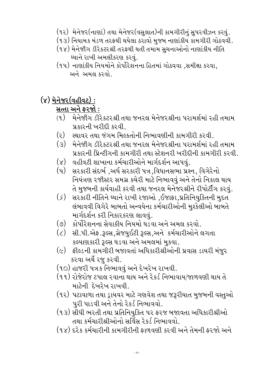- (૧૨) મેનેજર(નાણાં) તથા મેનેજર(વસલાત)ની કામગીરીનું સુપરવીઝન કરવું.
- (૧૩) નિયામક મંડળ તરફથી થયેલા ઠરાવો મુજબ નાણાંકીય કામગીરી ગોઠવવી.
- (૧૪) મેનેજીંગ ડીરેકટરશ્રી તરફથી થતી તમામ સુચનાઓનો નાણાંકીય નીતિ ઘ્યાને રાખી અમલીકરણ કરવું.
- (૧૫) નાણાંકીય નિયમોને કોર્પોરેશનના હિતમાં ગોઠવવા ,સમીક્ષા કરવા, અને અમલ કરવો

# (૪) મેનેજર (વહીવટ):

### સત્તા અને ફરજો:

- મેનેજીંગ ડીરેકટરશ્રી તથા જનરલ મેનેજરશ્રીના પરામર્શમાં રહી તમામ  $(9)$ પ્રકારની ખરીદી કરવી.
- $(\mathfrak{z})$ સ્થાવર તથા જંગમ મિલ્કતોની નિભાવણીની કામગીરી કરવી..
- (૩) મેનેજીંગ ડીરેકટરશ્રી તથા જનરલ મેનેજરશ્રીના પરામર્શમાં રહી તમામ પ્રકારની પ્રિન્ટીગની કામગીરી તથા સ્ટેશનરી ખરીદીની કામગીરી કરવી..
- $(\lambda)$ વહીવટી શાખાના કર્મચારીઓને માર્ગદર્શન આપવું.
- સરકારી સંદર્ભ,અર્ધ સરકારી પત્ર,વિધાનસભા પ્રશ્ન, વિગેરેનો  $(\mathbf{u})$ નિયંત્રણ રજીસ્ટર સમગ્ર કચેરી માટે નિભાવવું અને તેનો નિકાલ થાય તે મુજબની કાર્યવાહી કરવી તથા જનરલ મેનેજરશ્રીને રીપોર્ટીંગ કરવું.
- $(\zeta)$ સરકારી નીતિને ઘ્યાને રાખી રજાઓ ,ઈજાફા,પ્રતિનિયુકિતની મુદત લંબાવવી વિગેરે બાબતો અન્વયેના કર્મચારીઓની મુશ્કેલીઓ બાબતે માર્ગદર્શન કરી નિકારકરણ લાવવું.
- $(\circ)$ કોર્પોરેશનના સેવાકીય નિયમો ઘડવા અને અમલ કરવો.
- સી.પી.એફ.રૂલ્સ,ગ્રેજયુઈટી રૂલ્સ,અને કર્મચારીઓને લગતા  $(\zeta)$ કલ્યાણકારી રૂલ્સ ઘડવા અને અમલમાં મુકવા.
- (૯) ફીલ્ડની કામગીરી બજાવતાં અધિકારીશ્રીઓની પ્રવાસ ડાયરી મંજુર કરવા અર્થે રજૂ કરવી.
- (૧૦) હાજરી પત્રક નિભાવવું અને દેખરેખ રાખવી.
- (૧૧) રોજેરોજ ટપાલ રવાના થાય અને રેકર્ડ નિભાવાય/જાળવણી થાય તે માટેની દેખરેખ રાખવી.
- (૧૨) પટાવાળા તથા ડ્રાયવર માટે ગણવેશ તથા જરૂરીયાત મુજબની વસ્તુઓ પુરી પાડવી અને તેનો રેકર્ડ નિભાવવો.
- (૧૩) સીધી ભરતી તથા પ્રતિનિયુકિત પર ફરજ બજાવતા અધિકારીશ્રીઓ તથા કર્મચારીશ્રીઓનો સર્વિસ રેકર્ડ નિભાવવો.
- (૧૪) દરેક કર્મચારીની કામગીરીની કાળવણી કરવી અને તેમની કરજો અને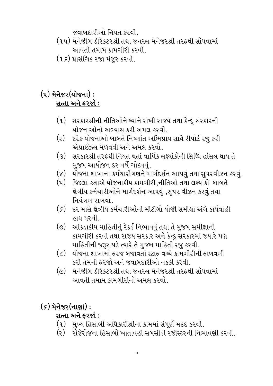જવાબદારીઓ નિયત કરવી.

- (૧૫) મેનેજીંગ ડીરેકટરશ્રી તથા જનરલ મેનેજરશ્રી તરફથી સોંપવામાં આવતી તમામ કામગીરી કરવી..
- (૧૬) પ્રાસંગિક રજા મંજૂર કરવી.

## (૫) મેનેજર (યોજના): સત્તા અને ફરજો:

- સરકારશ્રીની નીતિઓને ઘ્યાને રાખી રાજય તથા કેન્દ્ર સરકારની  $(q)$ યોજનાઓનો અભ્યાસ કરી અમલ કરવો.
- $(z)$ દરેક યોજનાઓ બાબતે નિષ્ણાંત અભિપ્રાય સાથે રીપોર્ટ રજુ કરી એપ્રાઈઝલ મેળવવી અને અમલ કરવો.
- $\mathcal{L}(S)$ સરકારશ્રી તરફથી નિયત થતાં વાર્ષિક લક્ષ્યાંકોની સિધ્ધિ હાંસલ થાય તે મુજબ આયોજન દર વર્ષે ગોઠવવું.
- $(\lambda)$ યોજના શાખાના કર્મચારીગણને માર્ગદર્શન આપવું તથા સુપરવીઝન કરવું.
- $(\mathrm{u})$ જિલ્લા કક્ષાએ યોજનાકીય કામગીરી.નીતિઓ તથા લક્ષ્યાંકો બાબતે ક્ષેત્રીય કર્મચારીઓને માર્ગદર્શન આપવું ,સુપર વીઝન કરવું તથા નિયંત્રણ રાખવો.
- $(\zeta)$ દર માસે ક્ષેત્રીય કર્મચારીઓની મીટીગો યોજી સમીક્ષા અંગે કાર્યવાહી હાથ ધરવી..
- આંકડાકીય માહિતીનું રેકર્ડ નિભાવવું તથા તે મુજબ સમીક્ષાની  $(\circ)$ કામગીરી કરવી તથા રાજય સરકાર અને કેન્દ્ર સરકારમાં જયારે પણ માહિતીની જરૂર પડે ત્યારે તે મુજબ માહિતી રજુ કરવી.
- $\left( \zeta \right)$ યોજના શાખામાં કરજ બજાવતાં સ્ટાક વચ્ચે કામગીરીની કાળવણી કરી તેમની ફરજો અને જવાબદારીઓ નકકી કરવી.
- $(\epsilon)$ મેનેજીંગ ડીરેકટરશ્રી તથા જનરલ મેનેજરશ્રી તરફથી સોંપવામાં આવતી તમામ કામગીરીનો અમલ કરવો.

 $(s)$  મેનેજર $(\tau$ ાણાં $):$ 

#### સત્તા અને ફરજો :

- (૧) મુખ્ય હિસાબી અધિકારીશ્રીના કામમાં સંપૂર્ણ મદદ કરવી.
- રોજેરોજના હિસાબો ખાતાવહી સબસીડી રજીસ્ટરની નિભાવણી કરવી.  $(5)$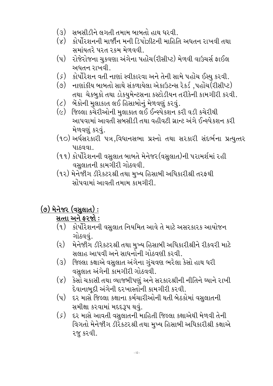- $(3)$ સબસીડીને લગતી તમામ બાબતો હાથ ધરવી.
- (૪) કોર્પોરશનની માર્જીન મની ડિપોઝીટની માહિતિ અધતન રાખવી તથા સમાંયતરે પરત રકમ મેળવવી.
- રોજેરોજના ચુકવણા અંગેના પહોંચ(રીસીપ્ટ) મેળવી વાઉચર્સ ફાઈલ  $(y)$ અધતન રાખવી.
- (ક) કોર્પોરેશન વતી નાણાં સ્વીકારવા અને તેની સામે પહોંચ ઈસ્યુ કરવી.
- નાણાંકીય બાબતો સાથે સંકળાયેલા એકાઉટન્સ રેકર્ડ ,પહોંચ(રીસીપ્ટ)  $(\circ)$ તથા ચેકબુકો તથા ડોકયુમેન્ટસના કસ્ટોડીયન તરીકેની કામગીરી કરવી.
- $\left( \zeta \right)$ બેંકોની મુલાકાત લઈ હિસાબોનું મેળવણું કરવું.
- (૯) જિલ્લા કચેરીઓની મુલાકાત લઈ ઈન્સ્પેકશન કરી વડી કચેરીથી આપવામાં આવતી સબસીડી તથા વહીવટી ગ્રાન્ટ અંગે ઈન્સ્પેકશન કરી મેળવણું કરવું.
- (૧૦) અર્ધસરકારી પત્ર,વિધાનસભા પ્રશ્નો તથા સરકારી સંદર્ભના પ્રત્યુત્તર પાઠવવા.
- (૧૧) કોર્પોરેશનની વસુલાત બાબતે મેનેજર(વસુલાત)ની પરામર્શમાં રહી વસુલાતની કામગીરી ગોઠવવી.
- (૧૨) મેનેજીંગ ડીરેકટરશ્રી તથા મુખ્ય હિસાબી અધિકારીશ્રી તરફથી સોંપવામાં આવતી તમામ કામગીરી..

# <u>(૭) મેનેજર (વસૂલાત):</u>

### સત્તા અને ફરજો:

- (૧) કોર્પોરેશનની વસુલાત નિયમિત આવે તે માટે અસરકારક આયોજન ગોઠવવું.
- $(z)$ મેનેજીંગ ડીરેકટરશ્રી તથા મુખ્ય હિસાબી અધિકારીશ્રીને રીકવરી માટે સલાહ આપવી અને સાધનોની ગોઠવણી કરવી.
- (૩) જિલ્લા કક્ષાએ વસુલાત અંગેના ગુંચવણ ભરેલા કેસો હાથ ધરી વસુલાત અંગેની કામગીરી ગોઠવવી.
- (૪) કેસો ચકાસી તથા વ્યાજબીપણું અને સરકારશ્રીની નીતિને ઘ્યાને રાખી દેવાનાબુદી અંગેની દરખાસ્તોની કામગીરી કરવી.
- દર માસે જિલ્લા કક્ષાના કર્મચારીઓની થતી બેઠકોમાં વસુલાતની  $(\mathrm{u})$ સમીક્ષા કરવામાં મદદરૂપ થવું.
- $(\zeta)$ દર માસે આવતી વસુલાતની માહિતી જિલ્લા કક્ષાએથી મેળવી તેની વિગતો મેનેજીંગ ડીરેકટરશ્રી તથા મુખ્ય હિસાબી અધિકારીશ્રી કક્ષાએ ૨જુ કરવી.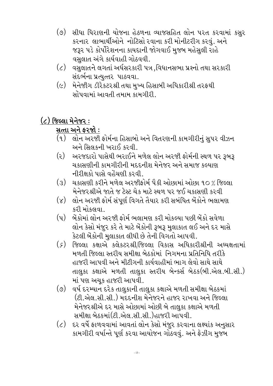- $(\circ)$ સીધા ધિરાણની યોજના હેઠળના વ્યાજસહિત લોન પરત કરવામાં કસર કરનાર લાભાર્થીઓને નોટિસો રવાના કરી મોનીટરીગ કરવું. અને જરૂર પડે કોર્પોરેશનના કાયદાની જોગવાઈ મુજબ મહેસુલી રાહે વસલાત અંગે કાર્યવાહી ગોઠવવી.
- (૮) વસુલાતને લગતાં અર્ધસરકારી પત્ર,વિધાનસભા પ્રશ્નો તથા સરકારી સંદર્ભના પ્રત્યુત્તર પાઠવવા.
- $(\varsigma)$ મેનેજીંગ ડીરેકટરશ્રી તથા મુખ્ય હિસાબી અધિકારીશ્રી તરફથી સોંપવામાં આવતી તમામ કામગીરી

## $(c)$  જિલ્લા મેનેજર:

#### સત્તા અને ફરજો:

- (૧) લોન અરજી ફોર્મના હિસાબો અને વિતરણની કામગીરીનું સુપર વીઝન અને સિલકની ખરાઈ કરવી.
- અરજદારો પાસેથી ભરાઈને મળેલ લોન અરજી ફોર્મની સ્થળ પર રૂબરૂ  $\left( z\right)$ ચકાસણીની કામગીરીની મદદનીશ મેનેજર અને સમાજ કલ્યાણ નીરીક્ષકો પાસે વહેંચણી કરવી
- ચકાસણી કરીને મળેલ અરજીફોર્મ પૈકી ઓછામાં ઓછા ૧૦ % જિલ્લા  $(3)$ મેનેજરશ્રીએ જાતે જ ટેસ્ટ ચેક માટે સ્થળ પર જઈ ચકાસણી કરવી
- લોન અરજી ફોર્મ સંપૂર્ણ વિગતે તૈયાર કરી સબંધિત બેંકોને ભલામણ  $(\lambda)$ કરી મોકલવા .
- બેંકોમાં લોન અરજી કોર્મ ભલામણ કરી મોકલ્યા પછી બેંકો સવેળા  $(\mathbf{u})$ લોન કેસો મંજુર કરે તે માટે બેંકોની રૂબરૂ મુલાકાત લઈ અને દર માસે કેટલી બેંકોની મુલાકાત લીધી છે તેની વિગતો આપવી.
- જિલ્લા કક્ષાએ કલેકટરશ્રી/જિલ્લા વિકાસ અધિકારીશ્રીની અઘ્યક્ષતામાં  $(\zeta)$ મળતી જિલ્લા સ્તરીય સમીક્ષા બેઠકોમાં નિગમના પ્રતિનિધિ તરીકે હાજરી આપવી અને મીટીગની કાર્યવાહીમાં ભાગ લેવો સાથે સાથે તાલુકા કક્ષાએ મળતી તાલુકા સ્તરીય બેન્કર્સ બેઠક(બી.એલ.બી.સી.) માં પણ અચૂક હાજરી આપવી.
- $(\circ)$ વર્ષ દરમ્યાન દરેક તાલુકાની તાલુકા કક્ષાએ મળતી સમીક્ષા બેઠકમાં (ટી.એલ.સી.સી.) મદદનીશ મેનેજરને હાજર રાખવા અને જિલ્લા મેનેજરશ્રીએ દર માસે ઓછામાં ઓછી બે તાલુકા કક્ષાએ મળતી સમીક્ષા બેઠકમાં(ટી.એલ.સી.સી.)હાજરી આપવી.
- $(\zeta)$ દર વર્ષે ફાળવવામાં આવતાં લોન કેસો મંજૂર કરવાના લક્ષ્યાંક અનુસાર કામગીરી વર્ષાન્તે પૂર્ણ કરવા આયોજન ગોઠવવું. અને ફેઝીગ મુજબ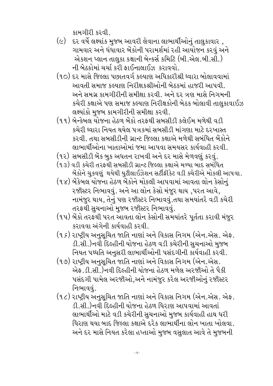કામગીરી કરવી.

- દર વર્ષે લક્ષ્યાંક મુજબ આવરી લેવાના લાભાર્થીઓનું તાલુકાવાર,  $(\epsilon)$ ગામવાર અને ધંધાવાર બેંકોની પરામર્શમાં રહી આયોજન કરવું અને એકશન પ્લાન તાલુકા કક્ષાની બેન્કર્સ કમિટિ (બી.એલ.બી.સી.) ની બેઠકોમાં ચર્ચા કરી ફાઈનાલાઈઝ કરાવવો.
- (૧૦) દર માસે જિલ્લા પછાતવર્ગ કલ્યાણ અધિકારીશ્રી ઘ્વારા બોલાવવામાં આવતી સમાજ કલ્યાણ નિરીક્ષકશ્રીઓની બેઠકમાં હાજરી આપવી.. અને સમગ્ર કામગીરીની સમીક્ષા કરવી. અને દર ત્રણ માસે નિગમની કચેરી કક્ષાએ પણ સમાજ કલ્યાણ નિરીક્ષકોની બેઠક બોલાવી તાલુકાવાઈઝ લક્ષ્યાંકો મુજબ કામગીરીની સમીક્ષા કરવી.
- (૧૧) બેન્કેબલ યોજના હેઠળ બેંકો તરફથી સબસીડી કલેઈમ મળેથી વડી કચેરી ઘ્વારા નિયત થયેલ પત્રકમાં સબસીડી માંગણા માટે દરખાસ્ત કરવી. તથા સબસીડીની ગ્રાન્ટ જિલ્લા કક્ષાએ મળેથી સબંધિત બેંકોને લાભાર્થીઓના ખાતાઓમાં જમા આપવા સમયસર કાર્યવાહી કરવી.
- (૧૨) સબસીડી બેંક બુક અધતન રાખવી અને દર માસે મેળવણું કરવું.
- (૧૩) વડી કચેરી તરફથી સબસીડી ગ્રાન્ટ જિલ્લા કક્ષાએ મળ્યા બાદ સબંધિત બેંકોને ચુકવણું થયેથી યુટીલાઈઝેશન સર્ટીફીકેટ વડી કચેરીએ મોકલી આપવા.
- (૧૪) બેંકેબલ યોજના હેઠળ બેંકોને મોકલી આપવામાં આવતા લોન કેસોનું રજીસ્ટર નિભાવવું. અને આ લોન કેસો મંજુર થાય ,પરત આવે, નામંજુર થાય, તેનું પણ રજીસ્ટર નિભાવવું.તથા સમયાંતરે વડી કચેરી તરફથી સુચનાઓ મુજબ રજીસ્ટર નિભાવવું.
- (૧૫) બેંકો તરફથી પરત આવતા લોન કેસોની સમયાંતરે પૂર્તતા કરાવી મંજુર કરાવવા અંગેની કાર્યવાહી કરવી.
- $($ ૧ $\,$ દ) રાષ્ટ્રીય અનુસૂચિત જાતિ નાણાં અને વિકાસ નિગમ (એન.એસ. એક. ડી.સી.)નવી દિલ્હીની યોજના હેઠળ વડી કચેરીની સુચનાઓ મુજબ નિયત પઘ્ધતિ અનુસરી લાભાર્થીઓની પસંદગીની કાર્યવાહી કરવી.
- (૧૭) રાષ્ટ્રીય અનુસૂચિત જાતિ નાણાં અને વિકાસ નિગમ (એન.એસ. એફ .ડી.સી.)નવી દિલ્હીની યોજના હેઠળ મળેલ અરજીઓ તે પૈકી પસંદગી પામેલ અરજીઓ,અને નામંજુર કરેલ અરજીઓનું રજીસ્ટર નિભાવવું.
- (૧૮) રાષ્ટ્રીય અનુસૂચિત જાતિ નાણાં અને વિકાસ નિગમ (એન.એસ. એફ. ડી.સી.)નવી દિલ્હીની યોજના હેઠળ ધિરાણ આપવામાં આવતાં લાભાર્થીઓ માટે વડી કચેરીની સુચનાઓ મુજબ કાર્યવાહી હાથ ધરી ધિરાણ થયા બાદ જિલ્લા કક્ષાએ દરેક લાભાર્થીના લોન ખાતા ખોલવા. અને દર માસે નિયત કરેલા હપ્તાઓ મુજબ વસુલાત આવે તે મુજબની